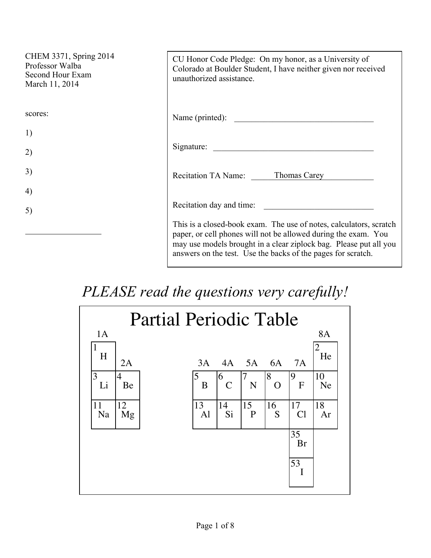| CHEM 3371, Spring 2014<br>Professor Walba<br>Second Hour Exam<br>March 11, 2014 | CU Honor Code Pledge: On my honor, as a University of<br>Colorado at Boulder Student, I have neither given nor received<br>unauthorized assistance.                                                                                                                       |
|---------------------------------------------------------------------------------|---------------------------------------------------------------------------------------------------------------------------------------------------------------------------------------------------------------------------------------------------------------------------|
| scores:                                                                         | Name (printed):                                                                                                                                                                                                                                                           |
| 1)                                                                              |                                                                                                                                                                                                                                                                           |
| 2)                                                                              | Signature:                                                                                                                                                                                                                                                                |
| 3)                                                                              | Recitation TA Name: Thomas Carey                                                                                                                                                                                                                                          |
| 4)                                                                              |                                                                                                                                                                                                                                                                           |
| 5)                                                                              | Recitation day and time:                                                                                                                                                                                                                                                  |
|                                                                                 | This is a closed-book exam. The use of notes, calculators, scratch<br>paper, or cell phones will not be allowed during the exam. You<br>may use models brought in a clear ziplock bag. Please put all you<br>answers on the test. Use the backs of the pages for scratch. |

## *PLEASE read the questions very carefully!*

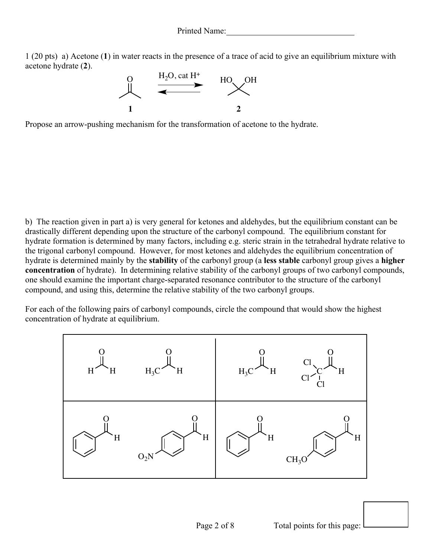1 (20 pts) a) Acetone (**1**) in water reacts in the presence of a trace of acid to give an equilibrium mixture with acetone hydrate (**2**).



Propose an arrow-pushing mechanism for the transformation of acetone to the hydrate.

b) The reaction given in part a) is very general for ketones and aldehydes, but the equilibrium constant can be drastically different depending upon the structure of the carbonyl compound. The equilibrium constant for hydrate formation is determined by many factors, including e.g. steric strain in the tetrahedral hydrate relative to the trigonal carbonyl compound. However, for most ketones and aldehydes the equilibrium concentration of hydrate is determined mainly by the **stability** of the carbonyl group (a **less stable** carbonyl group gives a **higher concentration** of hydrate). In determining relative stability of the carbonyl groups of two carbonyl compounds, one should examine the important charge-separated resonance contributor to the structure of the carbonyl compound, and using this, determine the relative stability of the two carbonyl groups.

For each of the following pairs of carbonyl compounds, circle the compound that would show the highest concentration of hydrate at equilibrium.

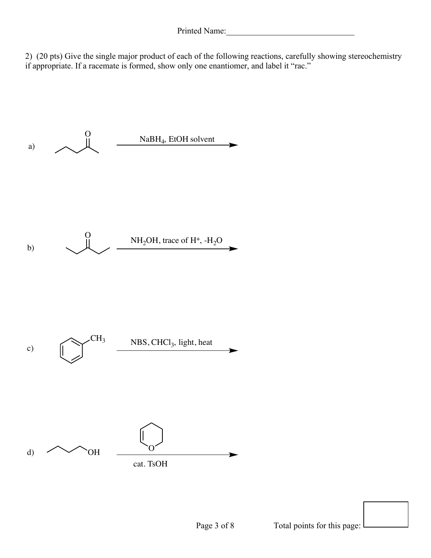2) (20 pts) Give the single major product of each of the following reactions, carefully showing stereochemistry if appropriate. If a racemate is formed, show only one enantiomer, and label it "rac."

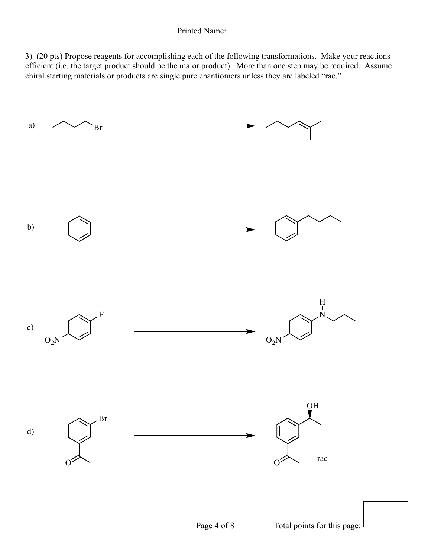3) (20 pts) Propose reagents for accomplishing each of the following transformations. Make your reactions efficient (i.e. the target product should be the major product). More than one step may be required. Assume chiral starting materials or products are single pure enantiomers unless they are labeled "rac."

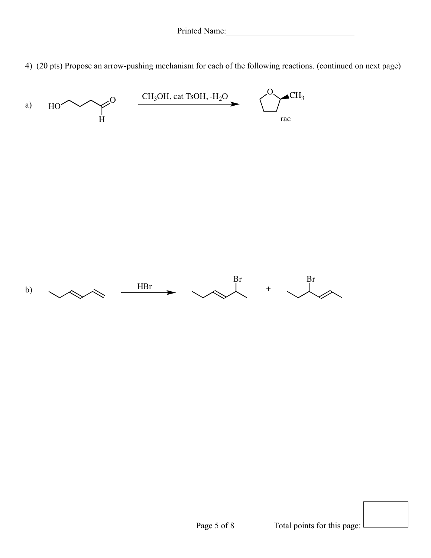4) (20 pts) Propose an arrow-pushing mechanism for each of the following reactions. (continued on next page)

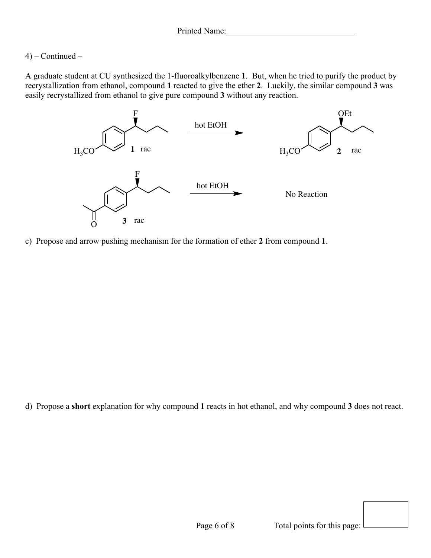## 4) – Continued –

A graduate student at CU synthesized the 1-fluoroalkylbenzene **1**. But, when he tried to purify the product by recrystallization from ethanol, compound **1** reacted to give the ether **2**. Luckily, the similar compound **3** was easily recrystallized from ethanol to give pure compound **3** without any reaction.



c) Propose and arrow pushing mechanism for the formation of ether **2** from compound **1**.

d) Propose a **short** explanation for why compound **1** reacts in hot ethanol, and why compound **3** does not react.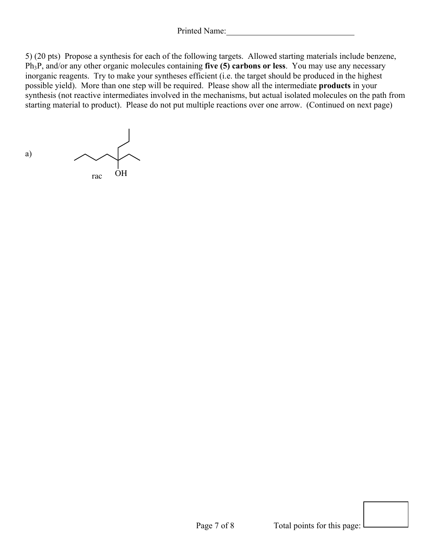Printed Name:

5) (20 pts) Propose a synthesis for each of the following targets. Allowed starting materials include benzene, Ph3P, and/or any other organic molecules containing **five (5) carbons or less**. You may use any necessary inorganic reagents. Try to make your syntheses efficient (i.e. the target should be produced in the highest possible yield). More than one step will be required. Please show all the intermediate **products** in your synthesis (not reactive intermediates involved in the mechanisms, but actual isolated molecules on the path from starting material to product). Please do not put multiple reactions over one arrow. (Continued on next page)

a) rac OH